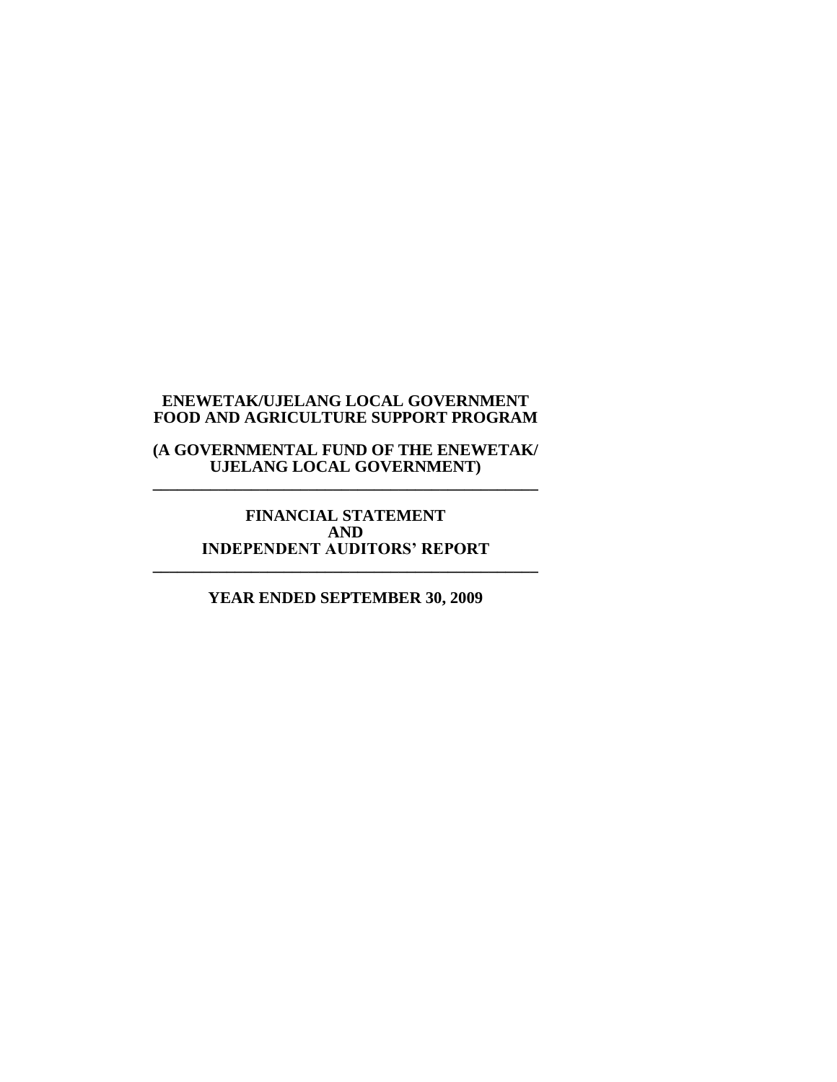**(A GOVERNMENTAL FUND OF THE ENEWETAK/ UJELANG LOCAL GOVERNMENT) \_\_\_\_\_\_\_\_\_\_\_\_\_\_\_\_\_\_\_\_\_\_\_\_\_\_\_\_\_\_\_\_\_\_\_\_\_\_\_\_\_\_\_\_\_\_\_**

**FINANCIAL STATEMENT AND INDEPENDENT AUDITORS' REPORT \_\_\_\_\_\_\_\_\_\_\_\_\_\_\_\_\_\_\_\_\_\_\_\_\_\_\_\_\_\_\_\_\_\_\_\_\_\_\_\_\_\_\_\_\_\_\_**

**YEAR ENDED SEPTEMBER 30, 2009**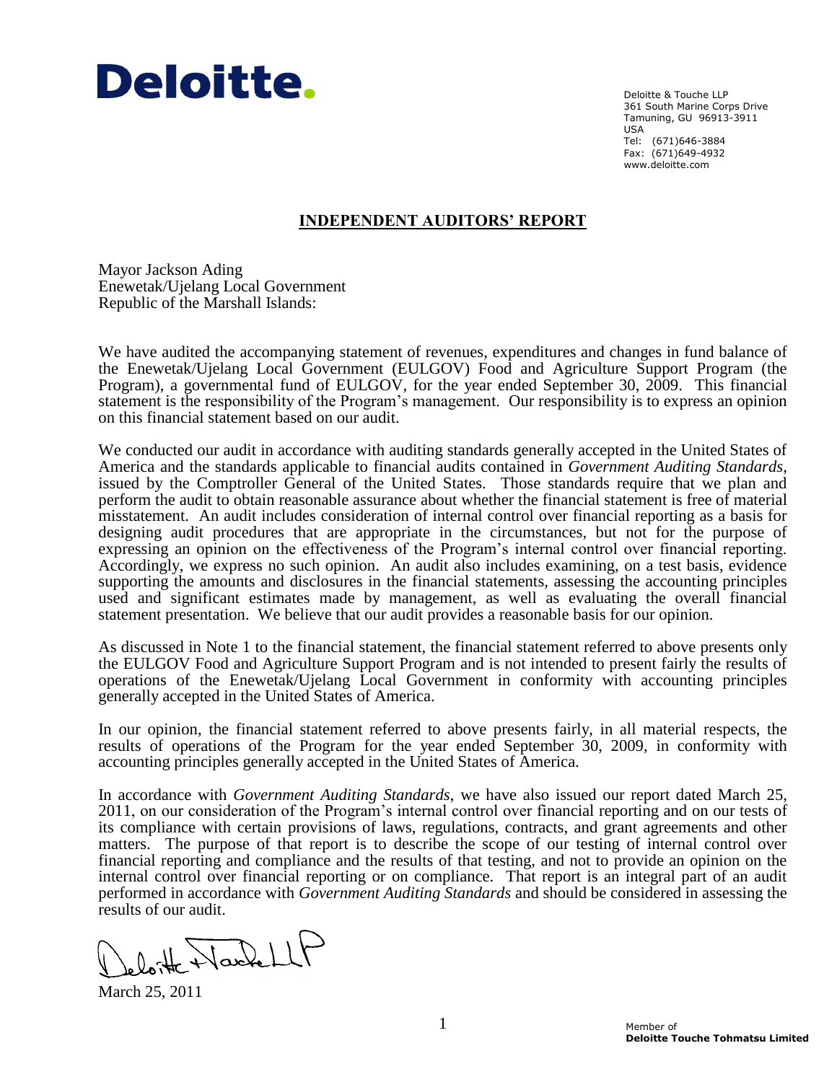

Deloitte & Touche LLP 361 South Marine Corps Drive Tamuning, GU 96913-3911 USA Tel: (671)646-3884 Fax: (671)649-4932 www.deloitte.com

# **INDEPENDENT AUDITORS' REPORT**

Mayor Jackson Ading Enewetak/Ujelang Local Government Republic of the Marshall Islands:

We have audited the accompanying statement of revenues, expenditures and changes in fund balance of the Enewetak/Ujelang Local Government (EULGOV) Food and Agriculture Support Program (the Program), a governmental fund of EULGOV, for the year ended September 30, 2009. This financial statement is the responsibility of the Program's management. Our responsibility is to express an opinion on this financial statement based on our audit.

We conducted our audit in accordance with auditing standards generally accepted in the United States of America and the standards applicable to financial audits contained in *Government Auditing Standards*, issued by the Comptroller General of the United States. Those standards require that we plan and perform the audit to obtain reasonable assurance about whether the financial statement is free of material misstatement. An audit includes consideration of internal control over financial reporting as a basis for designing audit procedures that are appropriate in the circumstances, but not for the purpose of expressing an opinion on the effectiveness of the Program's internal control over financial reporting. Accordingly, we express no such opinion. An audit also includes examining, on a test basis, evidence supporting the amounts and disclosures in the financial statements, assessing the accounting principles used and significant estimates made by management, as well as evaluating the overall financial statement presentation. We believe that our audit provides a reasonable basis for our opinion.

As discussed in Note 1 to the financial statement, the financial statement referred to above presents only the EULGOV Food and Agriculture Support Program and is not intended to present fairly the results of operations of the Enewetak/Ujelang Local Government in conformity with accounting principles generally accepted in the United States of America.

In our opinion, the financial statement referred to above presents fairly, in all material respects, the results of operations of the Program for the year ended September 30, 2009, in conformity with accounting principles generally accepted in the United States of America.

In accordance with *Government Auditing Standards*, we have also issued our report dated March 25, 2011, on our consideration of the Program's internal control over financial reporting and on our tests of its compliance with certain provisions of laws, regulations, contracts, and grant agreements and other matters. The purpose of that report is to describe the scope of our testing of internal control over financial reporting and compliance and the results of that testing, and not to provide an opinion on the internal control over financial reporting or on compliance. That report is an integral part of an audit performed in accordance with *Government Auditing Standards* and should be considered in assessing the results of our audit.

botte Harlett

March 25, 2011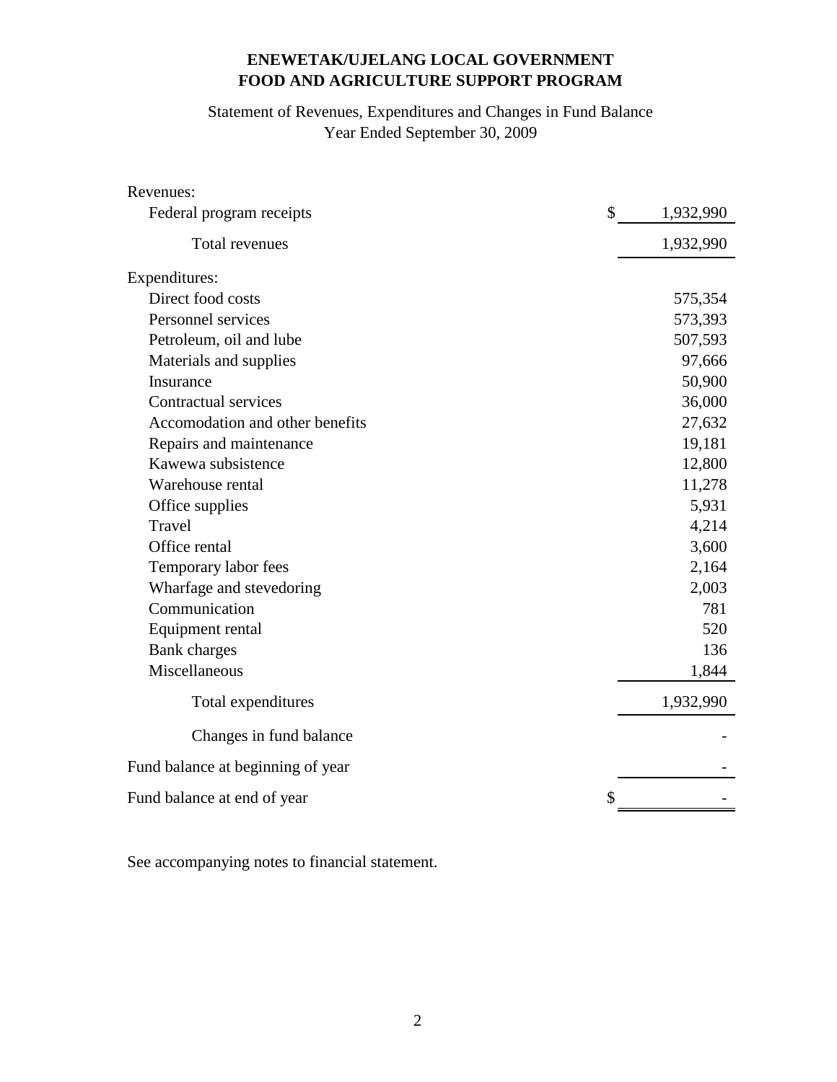Statement of Revenues, Expenditures and Changes in Fund Balance Year Ended September 30, 2009

| Revenues:                         |                           |
|-----------------------------------|---------------------------|
| Federal program receipts          | $\mathbb{S}$<br>1,932,990 |
| Total revenues                    | 1,932,990                 |
| Expenditures:                     |                           |
| Direct food costs                 | 575,354                   |
| Personnel services                | 573,393                   |
| Petroleum, oil and lube           | 507,593                   |
| Materials and supplies            | 97,666                    |
| Insurance                         | 50,900                    |
| Contractual services              | 36,000                    |
| Accomodation and other benefits   | 27,632                    |
| Repairs and maintenance           | 19,181                    |
| Kawewa subsistence                | 12,800                    |
| Warehouse rental                  | 11,278                    |
| Office supplies                   | 5,931                     |
| Travel                            | 4,214                     |
| Office rental                     | 3,600                     |
| Temporary labor fees              | 2,164                     |
| Wharfage and stevedoring          | 2,003                     |
| Communication                     | 781                       |
| Equipment rental                  | 520                       |
| <b>Bank</b> charges               | 136                       |
| Miscellaneous                     | 1,844                     |
| Total expenditures                | 1,932,990                 |
| Changes in fund balance           |                           |
| Fund balance at beginning of year |                           |
| Fund balance at end of year       | \$                        |

See accompanying notes to financial statement.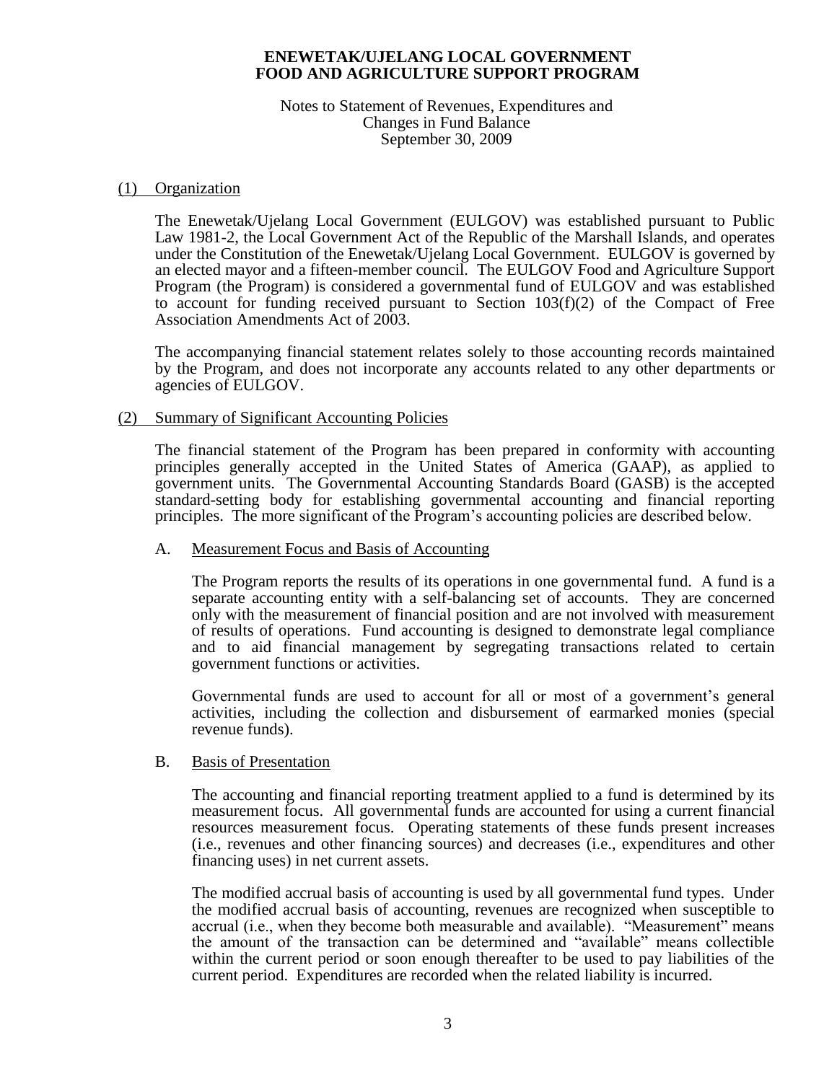#### Notes to Statement of Revenues, Expenditures and Changes in Fund Balance September 30, 2009

#### (1) Organization

The Enewetak/Ujelang Local Government (EULGOV) was established pursuant to Public Law 1981-2, the Local Government Act of the Republic of the Marshall Islands, and operates under the Constitution of the Enewetak/Ujelang Local Government. EULGOV is governed by an elected mayor and a fifteen-member council. The EULGOV Food and Agriculture Support Program (the Program) is considered a governmental fund of EULGOV and was established to account for funding received pursuant to Section  $103(f)(2)$  of the Compact of Free Association Amendments Act of 2003.

The accompanying financial statement relates solely to those accounting records maintained by the Program, and does not incorporate any accounts related to any other departments or agencies of EULGOV.

### (2) Summary of Significant Accounting Policies

The financial statement of the Program has been prepared in conformity with accounting principles generally accepted in the United States of America (GAAP), as applied to government units. The Governmental Accounting Standards Board (GASB) is the accepted standard-setting body for establishing governmental accounting and financial reporting principles. The more significant of the Program's accounting policies are described below.

### A. Measurement Focus and Basis of Accounting

The Program reports the results of its operations in one governmental fund. A fund is a separate accounting entity with a self-balancing set of accounts. They are concerned only with the measurement of financial position and are not involved with measurement of results of operations. Fund accounting is designed to demonstrate legal compliance and to aid financial management by segregating transactions related to certain government functions or activities.

Governmental funds are used to account for all or most of a government's general activities, including the collection and disbursement of earmarked monies (special revenue funds).

### B. Basis of Presentation

The accounting and financial reporting treatment applied to a fund is determined by its measurement focus. All governmental funds are accounted for using a current financial resources measurement focus. Operating statements of these funds present increases (i.e., revenues and other financing sources) and decreases (i.e., expenditures and other financing uses) in net current assets.

The modified accrual basis of accounting is used by all governmental fund types. Under the modified accrual basis of accounting, revenues are recognized when susceptible to accrual (i.e., when they become both measurable and available). "Measurement" means the amount of the transaction can be determined and "available" means collectible within the current period or soon enough thereafter to be used to pay liabilities of the current period. Expenditures are recorded when the related liability is incurred.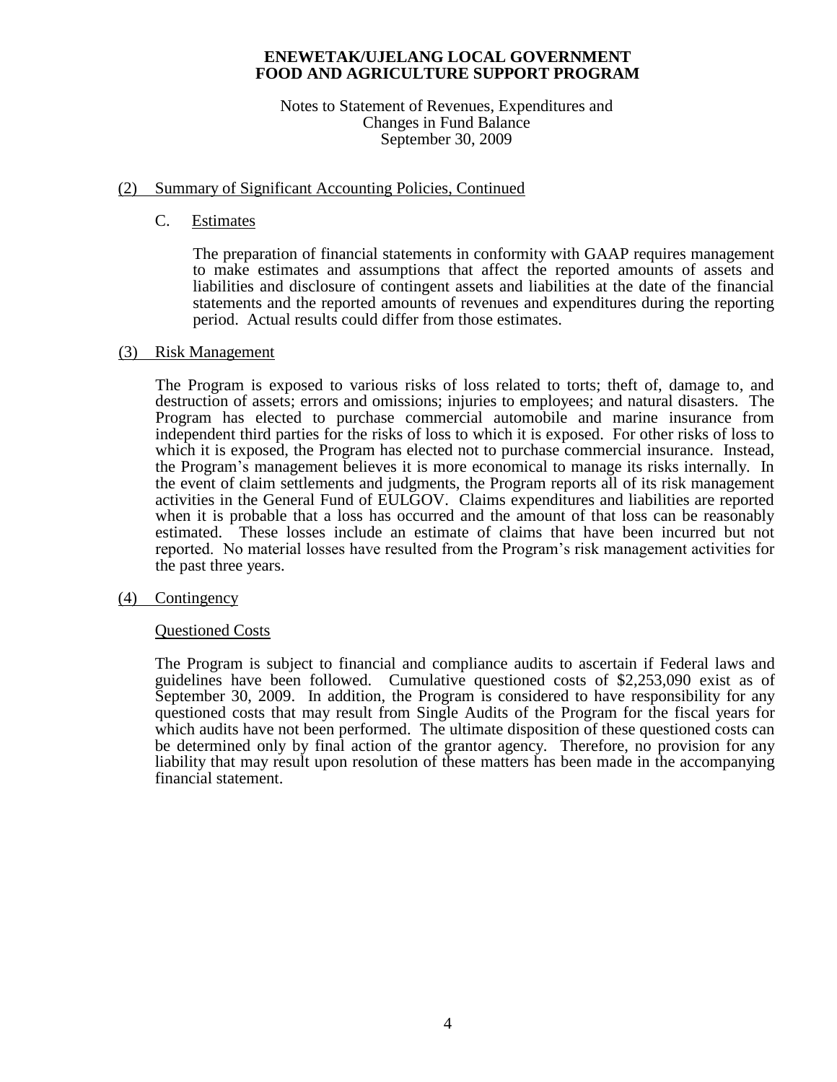#### Notes to Statement of Revenues, Expenditures and Changes in Fund Balance September 30, 2009

## (2) Summary of Significant Accounting Policies, Continued

## C. Estimates

The preparation of financial statements in conformity with GAAP requires management to make estimates and assumptions that affect the reported amounts of assets and liabilities and disclosure of contingent assets and liabilities at the date of the financial statements and the reported amounts of revenues and expenditures during the reporting period. Actual results could differ from those estimates.

### (3) Risk Management

The Program is exposed to various risks of loss related to torts; theft of, damage to, and destruction of assets; errors and omissions; injuries to employees; and natural disasters. The Program has elected to purchase commercial automobile and marine insurance from independent third parties for the risks of loss to which it is exposed. For other risks of loss to which it is exposed, the Program has elected not to purchase commercial insurance. Instead, the Program's management believes it is more economical to manage its risks internally. In the event of claim settlements and judgments, the Program reports all of its risk management activities in the General Fund of EULGOV. Claims expenditures and liabilities are reported when it is probable that a loss has occurred and the amount of that loss can be reasonably estimated. These losses include an estimate of claims that have been incurred but not reported. No material losses have resulted from the Program's risk management activities for the past three years.

### (4) Contingency

## Questioned Costs

The Program is subject to financial and compliance audits to ascertain if Federal laws and guidelines have been followed. Cumulative questioned costs of \$2,253,090 exist as of September 30, 2009. In addition, the Program is considered to have responsibility for any questioned costs that may result from Single Audits of the Program for the fiscal years for which audits have not been performed. The ultimate disposition of these questioned costs can be determined only by final action of the grantor agency. Therefore, no provision for any liability that may result upon resolution of these matters has been made in the accompanying financial statement.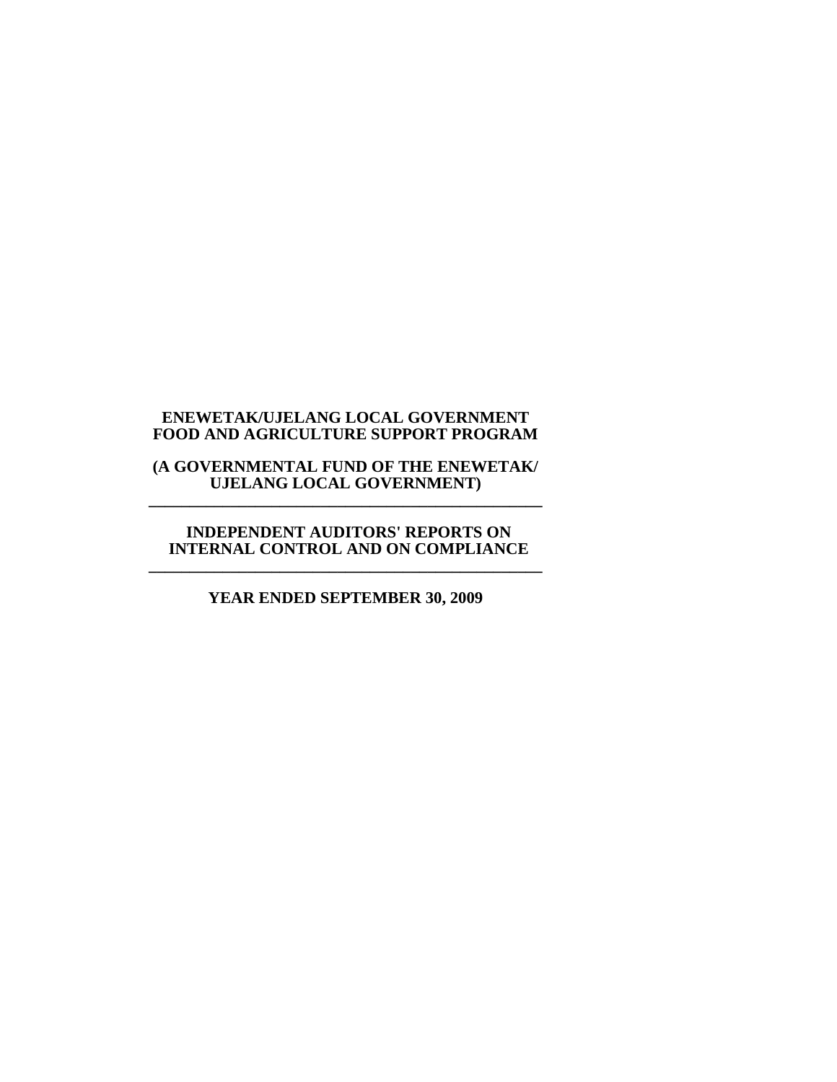## **(A GOVERNMENTAL FUND OF THE ENEWETAK/ UJELANG LOCAL GOVERNMENT) \_\_\_\_\_\_\_\_\_\_\_\_\_\_\_\_\_\_\_\_\_\_\_\_\_\_\_\_\_\_\_\_\_\_\_\_\_\_\_\_\_\_\_\_\_\_\_\_**

#### **INDEPENDENT AUDITORS' REPORTS ON INTERNAL CONTROL AND ON COMPLIANCE \_\_\_\_\_\_\_\_\_\_\_\_\_\_\_\_\_\_\_\_\_\_\_\_\_\_\_\_\_\_\_\_\_\_\_\_\_\_\_\_\_\_\_\_\_\_\_\_**

# **YEAR ENDED SEPTEMBER 30, 2009**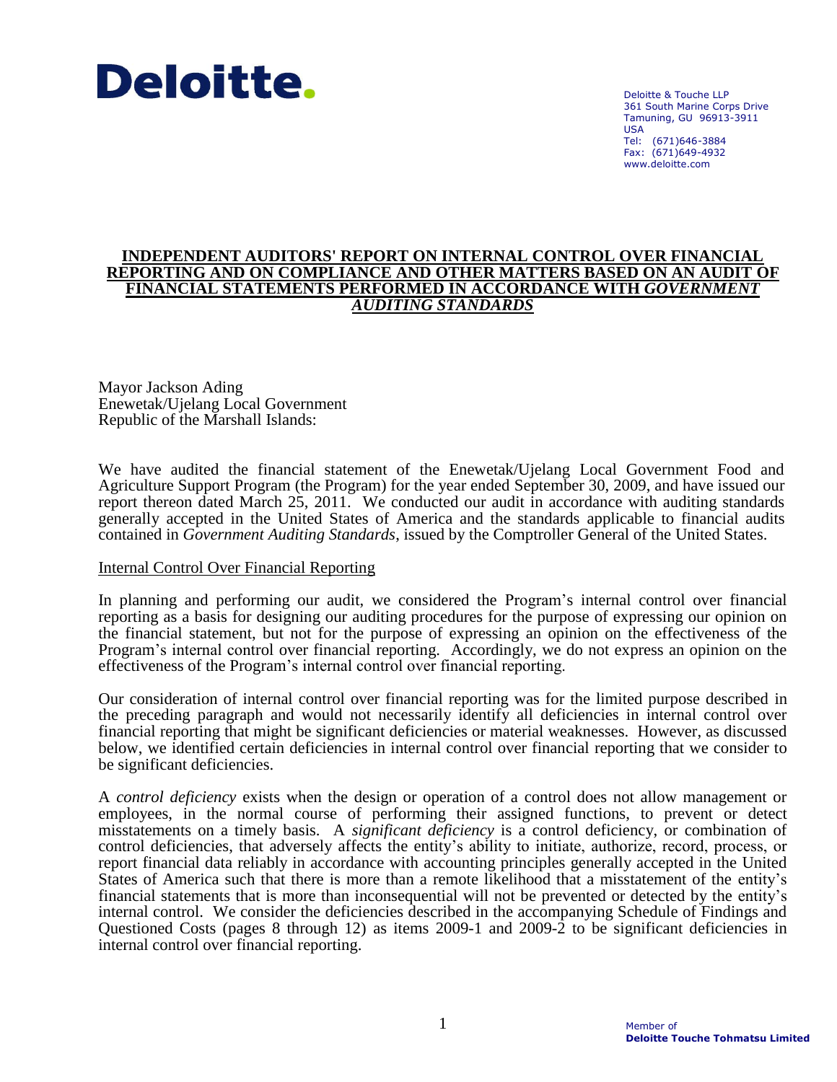

Deloitte & Touche LLP 361 South Marine Corps Drive Tamuning, GU 96913-3911 USA Tel: (671)646-3884 Fax: (671)649-4932 www.deloitte.com

#### **INDEPENDENT AUDITORS' REPORT ON INTERNAL CONTROL OVER FINANCIAL REPORTING AND ON COMPLIANCE AND OTHER MATTERS BASED ON AN AUDIT OF FINANCIAL STATEMENTS PERFORMED IN ACCORDANCE WITH** *GOVERNMENT AUDITING STANDARDS*

Mayor Jackson Ading Enewetak/Ujelang Local Government Republic of the Marshall Islands:

We have audited the financial statement of the Enewetak/Ujelang Local Government Food and Agriculture Support Program (the Program) for the year ended September 30, 2009, and have issued our report thereon dated March 25, 2011. We conducted our audit in accordance with auditing standards generally accepted in the United States of America and the standards applicable to financial audits contained in *Government Auditing Standards*, issued by the Comptroller General of the United States.

### Internal Control Over Financial Reporting

In planning and performing our audit, we considered the Program's internal control over financial reporting as a basis for designing our auditing procedures for the purpose of expressing our opinion on the financial statement, but not for the purpose of expressing an opinion on the effectiveness of the Program's internal control over financial reporting. Accordingly, we do not express an opinion on the effectiveness of the Program's internal control over financial reporting.

Our consideration of internal control over financial reporting was for the limited purpose described in the preceding paragraph and would not necessarily identify all deficiencies in internal control over financial reporting that might be significant deficiencies or material weaknesses. However, as discussed below, we identified certain deficiencies in internal control over financial reporting that we consider to be significant deficiencies.

A *control deficiency* exists when the design or operation of a control does not allow management or employees, in the normal course of performing their assigned functions, to prevent or detect misstatements on a timely basis. A *significant deficiency* is a control deficiency, or combination of control deficiencies, that adversely affects the entity's ability to initiate, authorize, record, process, or report financial data reliably in accordance with accounting principles generally accepted in the United States of America such that there is more than a remote likelihood that a misstatement of the entity's financial statements that is more than inconsequential will not be prevented or detected by the entity's internal control. We consider the deficiencies described in the accompanying Schedule of Findings and Questioned Costs (pages 8 through 12) as items 2009-1 and 2009-2 to be significant deficiencies in internal control over financial reporting.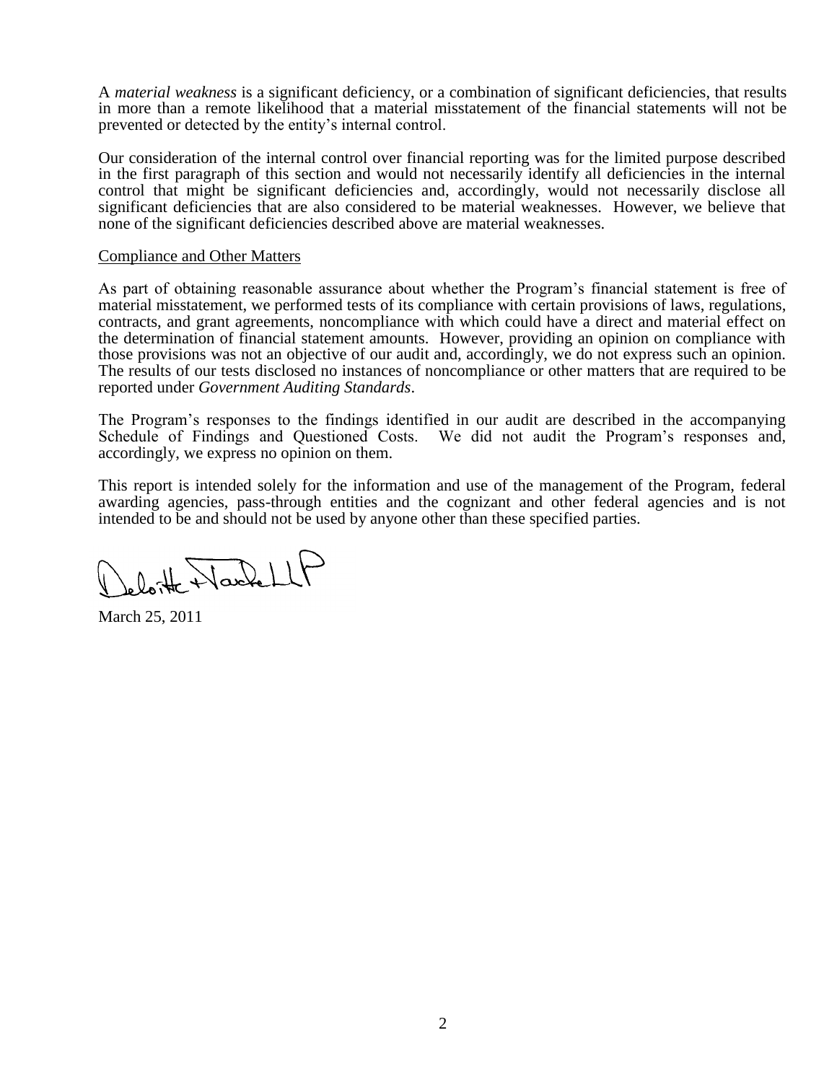A *material weakness* is a significant deficiency, or a combination of significant deficiencies, that results in more than a remote likelihood that a material misstatement of the financial statements will not be prevented or detected by the entity's internal control.

Our consideration of the internal control over financial reporting was for the limited purpose described in the first paragraph of this section and would not necessarily identify all deficiencies in the internal control that might be significant deficiencies and, accordingly, would not necessarily disclose all significant deficiencies that are also considered to be material weaknesses. However, we believe that none of the significant deficiencies described above are material weaknesses.

#### Compliance and Other Matters

As part of obtaining reasonable assurance about whether the Program's financial statement is free of material misstatement, we performed tests of its compliance with certain provisions of laws, regulations, contracts, and grant agreements, noncompliance with which could have a direct and material effect on the determination of financial statement amounts. However, providing an opinion on compliance with those provisions was not an objective of our audit and, accordingly, we do not express such an opinion. The results of our tests disclosed no instances of noncompliance or other matters that are required to be reported under *Government Auditing Standards*.

The Program's responses to the findings identified in our audit are described in the accompanying Schedule of Findings and Questioned Costs. We did not audit the Program's responses and, accordingly, we express no opinion on them.

This report is intended solely for the information and use of the management of the Program, federal awarding agencies, pass-through entities and the cognizant and other federal agencies and is not intended to be and should not be used by anyone other than these specified parties.

laith Harlett

March 25, 2011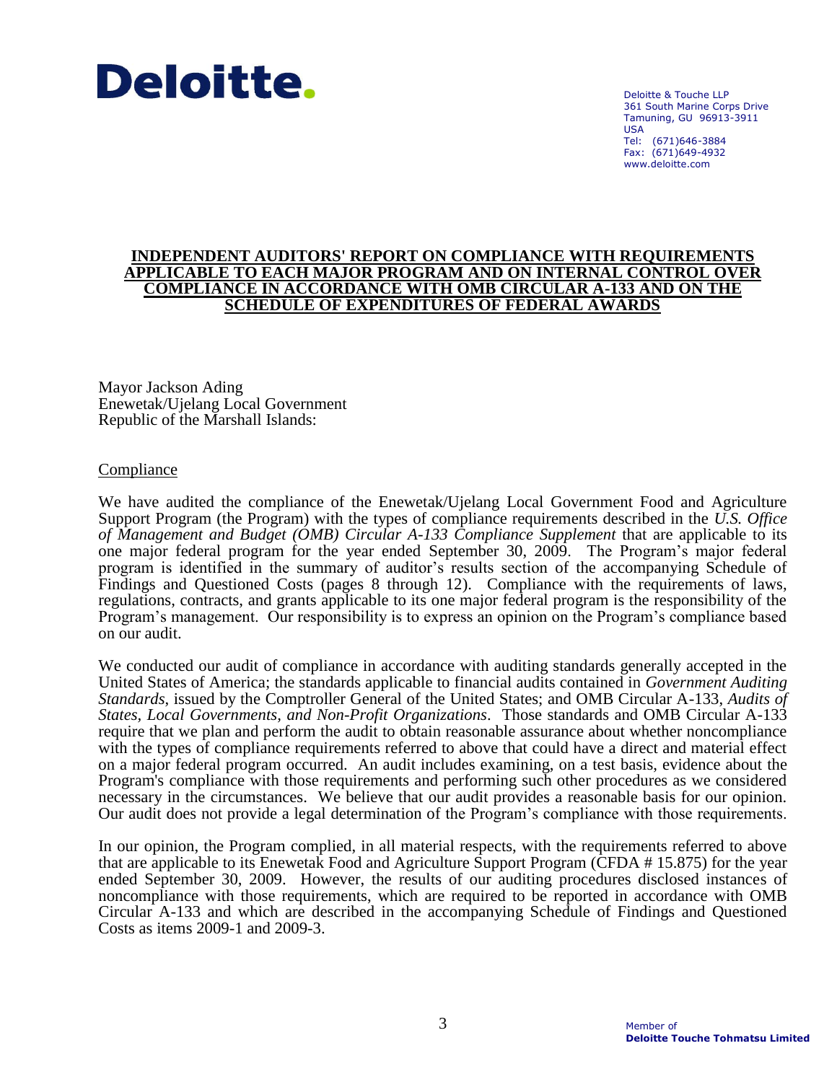

Deloitte & Touche LLP 361 South Marine Corps Drive Tamuning, GU 96913-3911 USA Tel: (671)646-3884 Fax: (671)649-4932 www.deloitte.com

#### **INDEPENDENT AUDITORS' REPORT ON COMPLIANCE WITH REQUIREMENTS APPLICABLE TO EACH MAJOR PROGRAM AND ON INTERNAL CONTROL OVER COMPLIANCE IN ACCORDANCE WITH OMB CIRCULAR A-133 AND ON THE SCHEDULE OF EXPENDITURES OF FEDERAL AWARDS**

Mayor Jackson Ading Enewetak/Ujelang Local Government Republic of the Marshall Islands:

### Compliance

We have audited the compliance of the Enewetak/Ujelang Local Government Food and Agriculture Support Program (the Program) with the types of compliance requirements described in the *U.S. Office of Management and Budget (OMB) Circular A-133 Compliance Supplement* that are applicable to its one major federal program for the year ended September 30, 2009. The Program's major federal program is identified in the summary of auditor's results section of the accompanying Schedule of Findings and Questioned Costs (pages 8 through 12). Compliance with the requirements of laws, regulations, contracts, and grants applicable to its one major federal program is the responsibility of the Program's management. Our responsibility is to express an opinion on the Program's compliance based on our audit.

We conducted our audit of compliance in accordance with auditing standards generally accepted in the United States of America; the standards applicable to financial audits contained in *Government Auditing Standards*, issued by the Comptroller General of the United States; and OMB Circular A-133, *Audits of States, Local Governments, and Non-Profit Organizations*. Those standards and OMB Circular A-133 require that we plan and perform the audit to obtain reasonable assurance about whether noncompliance with the types of compliance requirements referred to above that could have a direct and material effect on a major federal program occurred. An audit includes examining, on a test basis, evidence about the Program's compliance with those requirements and performing such other procedures as we considered necessary in the circumstances. We believe that our audit provides a reasonable basis for our opinion. Our audit does not provide a legal determination of the Program's compliance with those requirements.

In our opinion, the Program complied, in all material respects, with the requirements referred to above that are applicable to its Enewetak Food and Agriculture Support Program (CFDA # 15.875) for the year ended September 30, 2009. However, the results of our auditing procedures disclosed instances of noncompliance with those requirements, which are required to be reported in accordance with OMB Circular A-133 and which are described in the accompanying Schedule of Findings and Questioned Costs as items 2009-1 and 2009-3.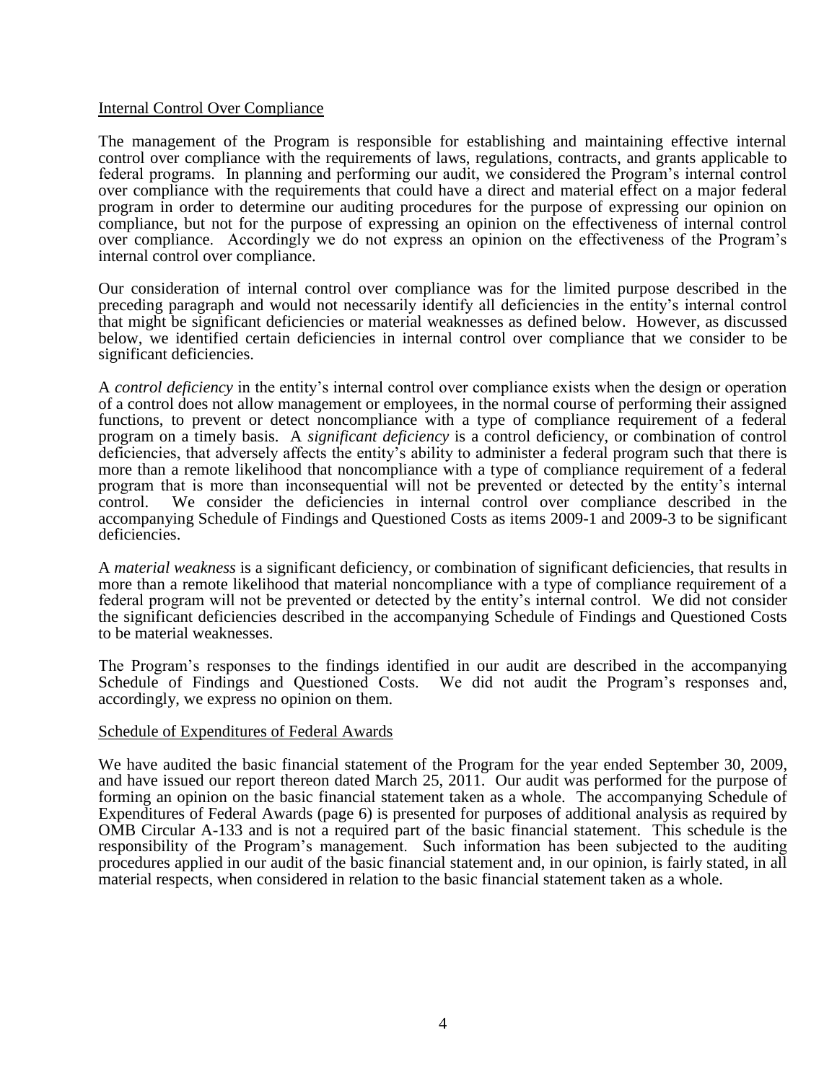## Internal Control Over Compliance

The management of the Program is responsible for establishing and maintaining effective internal control over compliance with the requirements of laws, regulations, contracts, and grants applicable to federal programs. In planning and performing our audit, we considered the Program's internal control over compliance with the requirements that could have a direct and material effect on a major federal program in order to determine our auditing procedures for the purpose of expressing our opinion on compliance, but not for the purpose of expressing an opinion on the effectiveness of internal control over compliance. Accordingly we do not express an opinion on the effectiveness of the Program's internal control over compliance.

Our consideration of internal control over compliance was for the limited purpose described in the preceding paragraph and would not necessarily identify all deficiencies in the entity's internal control that might be significant deficiencies or material weaknesses as defined below. However, as discussed below, we identified certain deficiencies in internal control over compliance that we consider to be significant deficiencies.

A *control deficiency* in the entity's internal control over compliance exists when the design or operation of a control does not allow management or employees, in the normal course of performing their assigned functions, to prevent or detect noncompliance with a type of compliance requirement of a federal program on a timely basis. A *significant deficiency* is a control deficiency, or combination of control deficiencies, that adversely affects the entity's ability to administer a federal program such that there is more than a remote likelihood that noncompliance with a type of compliance requirement of a federal program that is more than inconsequential will not be prevented or detected by the entity's internal control. We consider the deficiencies in internal control over compliance described in the accompanying Schedule of Findings and Questioned Costs as items 2009-1 and 2009-3 to be significant deficiencies.

A *material weakness* is a significant deficiency, or combination of significant deficiencies, that results in more than a remote likelihood that material noncompliance with a type of compliance requirement of a federal program will not be prevented or detected by the entity's internal control. We did not consider the significant deficiencies described in the accompanying Schedule of Findings and Questioned Costs to be material weaknesses.

The Program's responses to the findings identified in our audit are described in the accompanying Schedule of Findings and Questioned Costs. We did not audit the Program's responses and, accordingly, we express no opinion on them.

### Schedule of Expenditures of Federal Awards

We have audited the basic financial statement of the Program for the year ended September 30, 2009, and have issued our report thereon dated March 25, 2011. Our audit was performed for the purpose of forming an opinion on the basic financial statement taken as a whole. The accompanying Schedule of Expenditures of Federal Awards (page 6) is presented for purposes of additional analysis as required by OMB Circular A-133 and is not a required part of the basic financial statement. This schedule is the responsibility of the Program's management. Such information has been subjected to the auditing procedures applied in our audit of the basic financial statement and, in our opinion, is fairly stated, in all material respects, when considered in relation to the basic financial statement taken as a whole.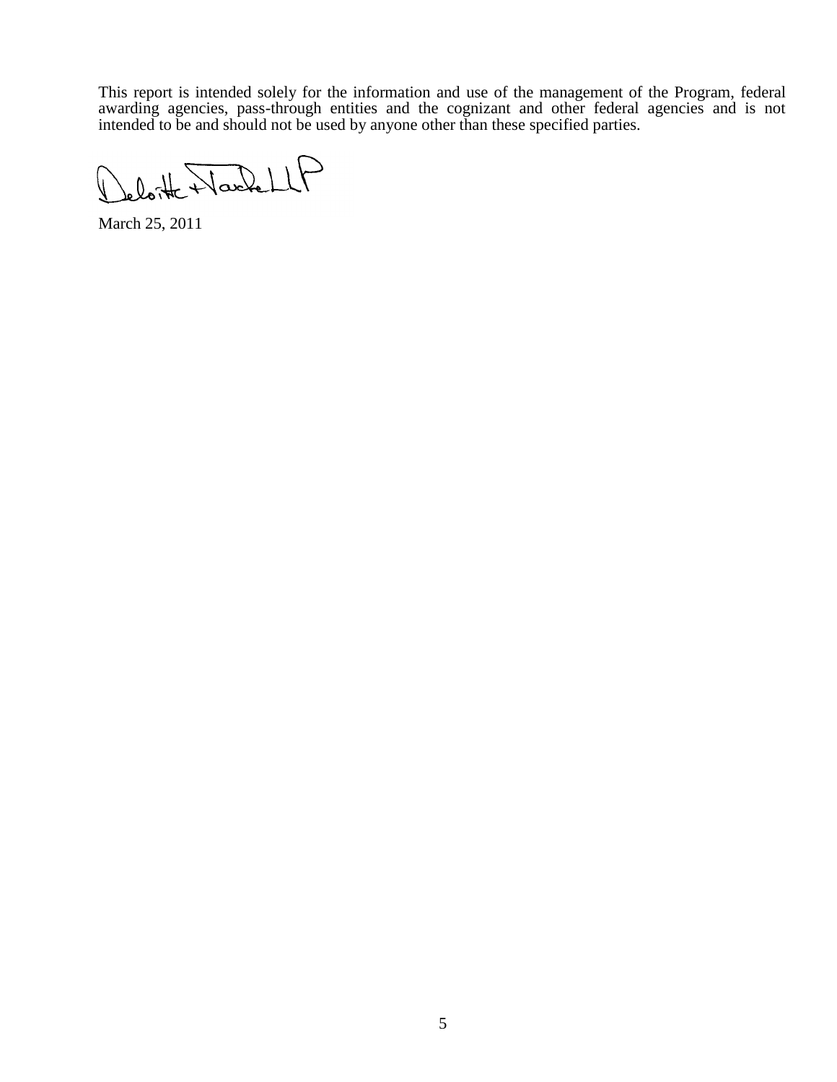This report is intended solely for the information and use of the management of the Program, federal awarding agencies, pass-through entities and the cognizant and other federal agencies and is not intended to be and should not be used by anyone other than these specified parties.

leloit Nach LP

March 25, 2011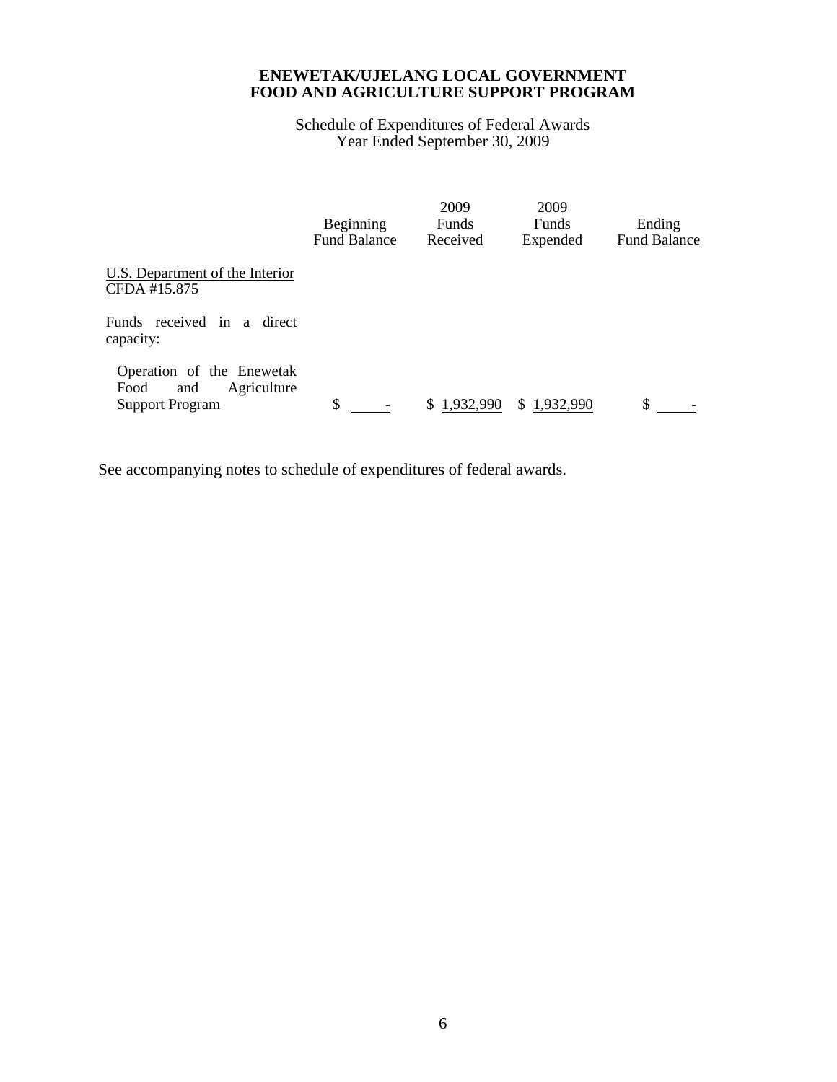Schedule of Expenditures of Federal Awards Year Ended September 30, 2009

|                                                                                   | Beginning<br><b>Fund Balance</b> | 2009<br><b>Funds</b><br>Received | 2009<br><b>Funds</b><br>Expended | Ending<br><b>Fund Balance</b> |
|-----------------------------------------------------------------------------------|----------------------------------|----------------------------------|----------------------------------|-------------------------------|
| U.S. Department of the Interior<br>CFDA #15.875                                   |                                  |                                  |                                  |                               |
| Funds received in a direct<br>capacity:                                           |                                  |                                  |                                  |                               |
| Operation of the Enewetak<br>Food<br>and<br>Agriculture<br><b>Support Program</b> | \$                               | 1 932 990                        | S.<br>1.932.990                  | \$                            |

See accompanying notes to schedule of expenditures of federal awards.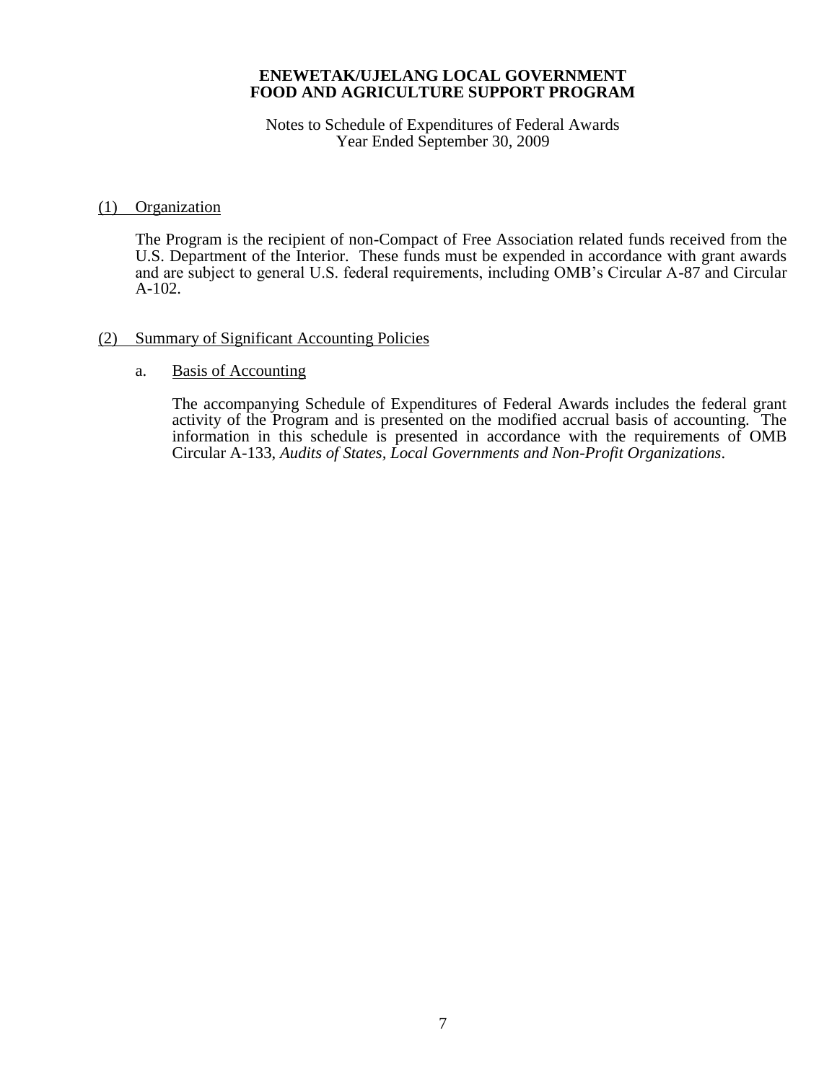Notes to Schedule of Expenditures of Federal Awards Year Ended September 30, 2009

## (1) Organization

The Program is the recipient of non-Compact of Free Association related funds received from the U.S. Department of the Interior. These funds must be expended in accordance with grant awards and are subject to general U.S. federal requirements, including OMB's Circular A-87 and Circular A-102.

## (2) Summary of Significant Accounting Policies

### a. Basis of Accounting

The accompanying Schedule of Expenditures of Federal Awards includes the federal grant activity of the Program and is presented on the modified accrual basis of accounting. The information in this schedule is presented in accordance with the requirements of OMB Circular A-133, *Audits of States, Local Governments and Non-Profit Organizations*.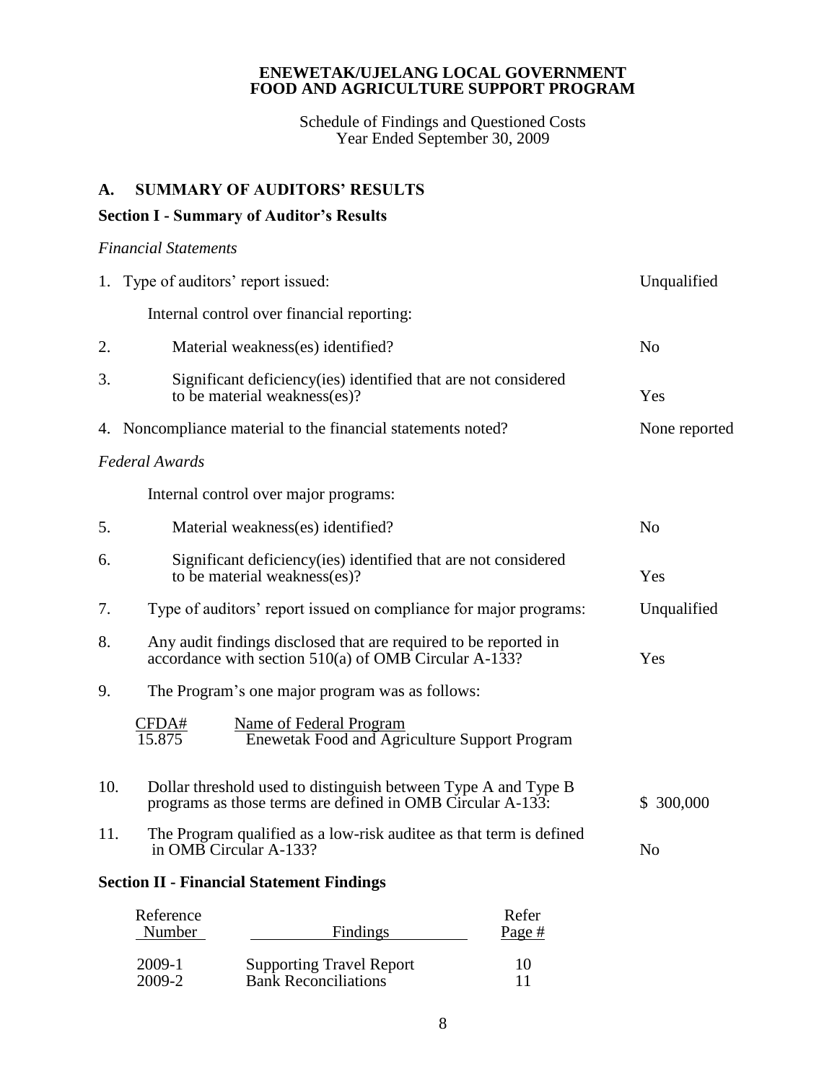Schedule of Findings and Questioned Costs Year Ended September 30, 2009

# **A. SUMMARY OF AUDITORS' RESULTS**

# **Section I - Summary of Auditor's Results**

# *Financial Statements*

|     | 1. Type of auditors' report issued:                                                                                          | Unqualified    |
|-----|------------------------------------------------------------------------------------------------------------------------------|----------------|
|     | Internal control over financial reporting:                                                                                   |                |
| 2.  | Material weakness(es) identified?                                                                                            | N <sub>0</sub> |
| 3.  | Significant deficiency (ies) identified that are not considered<br>to be material weakness(es)?                              | Yes            |
|     | 4. Noncompliance material to the financial statements noted?                                                                 | None reported  |
|     | <b>Federal Awards</b>                                                                                                        |                |
|     | Internal control over major programs:                                                                                        |                |
| 5.  | Material weakness(es) identified?                                                                                            | N <sub>0</sub> |
| 6.  | Significant deficiency (ies) identified that are not considered<br>to be material weakness(es)?                              | Yes            |
| 7.  | Type of auditors' report issued on compliance for major programs:                                                            | Unqualified    |
| 8.  | Any audit findings disclosed that are required to be reported in<br>accordance with section 510(a) of OMB Circular A-133?    | Yes            |
| 9.  | The Program's one major program was as follows:                                                                              |                |
|     | CFDA#<br>15.875<br><b>Name of Federal Program</b><br><b>Enewetak Food and Agriculture Support Program</b>                    |                |
| 10. | Dollar threshold used to distinguish between Type A and Type B<br>programs as those terms are defined in OMB Circular A-133: | \$300,000      |
| 11. | The Program qualified as a low-risk auditee as that term is defined<br>in OMB Circular A-133?                                | N <sub>o</sub> |
|     | <b>Section II - Financial Statement Findings</b>                                                                             |                |

### **Section II - Financial Statement Findings**

| Reference<br>Number | Findings                                                       | Refer<br>Page # |  |
|---------------------|----------------------------------------------------------------|-----------------|--|
| 2009-1<br>2009-2    | <b>Supporting Travel Report</b><br><b>Bank Reconciliations</b> | I ()            |  |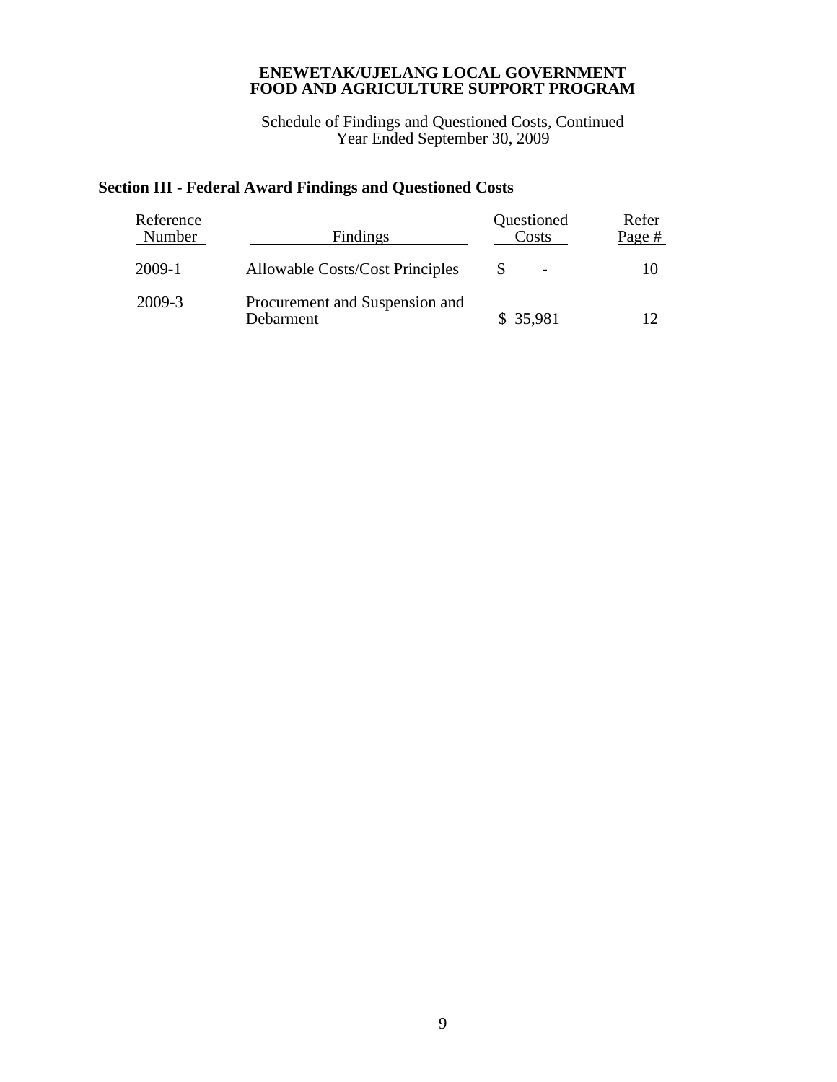Schedule of Findings and Questioned Costs, Continued Year Ended September 30, 2009

# **Section III - Federal Award Findings and Questioned Costs**

| Reference<br>Number | Findings                                    | Questioned<br>Costs | Refer<br>Page # |
|---------------------|---------------------------------------------|---------------------|-----------------|
| 2009-1              | <b>Allowable Costs/Cost Principles</b>      |                     |                 |
| 2009-3              | Procurement and Suspension and<br>Debarment | \$35,981            |                 |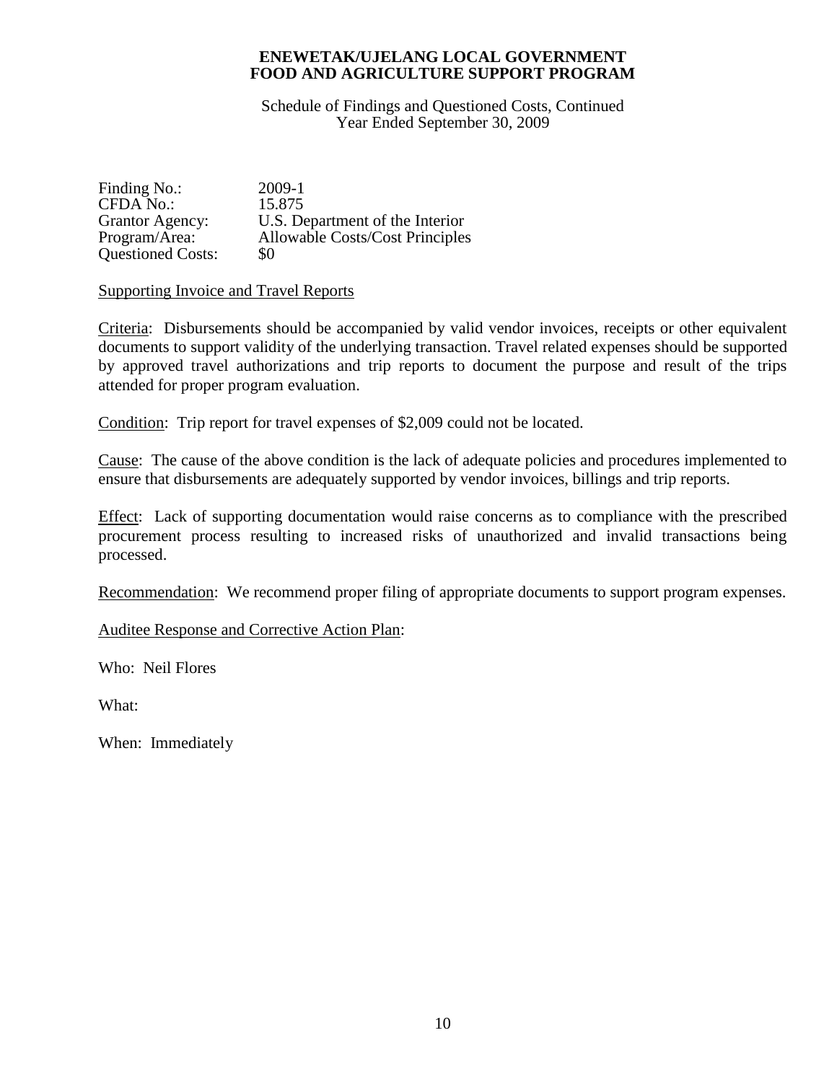Schedule of Findings and Questioned Costs, Continued Year Ended September 30, 2009

Finding No.: 2009-1<br>CFDA No.: 15.875 CFDA No.: Grantor Agency: U.S. Department of the Interior Program/Area: Allowable Costs/Cost Principles Questioned Costs: \$0

Supporting Invoice and Travel Reports

Criteria: Disbursements should be accompanied by valid vendor invoices, receipts or other equivalent documents to support validity of the underlying transaction. Travel related expenses should be supported by approved travel authorizations and trip reports to document the purpose and result of the trips attended for proper program evaluation.

Condition: Trip report for travel expenses of \$2,009 could not be located.

Cause: The cause of the above condition is the lack of adequate policies and procedures implemented to ensure that disbursements are adequately supported by vendor invoices, billings and trip reports.

Effect: Lack of supporting documentation would raise concerns as to compliance with the prescribed procurement process resulting to increased risks of unauthorized and invalid transactions being processed.

Recommendation: We recommend proper filing of appropriate documents to support program expenses.

Auditee Response and Corrective Action Plan:

Who: Neil Flores

What:

When: Immediately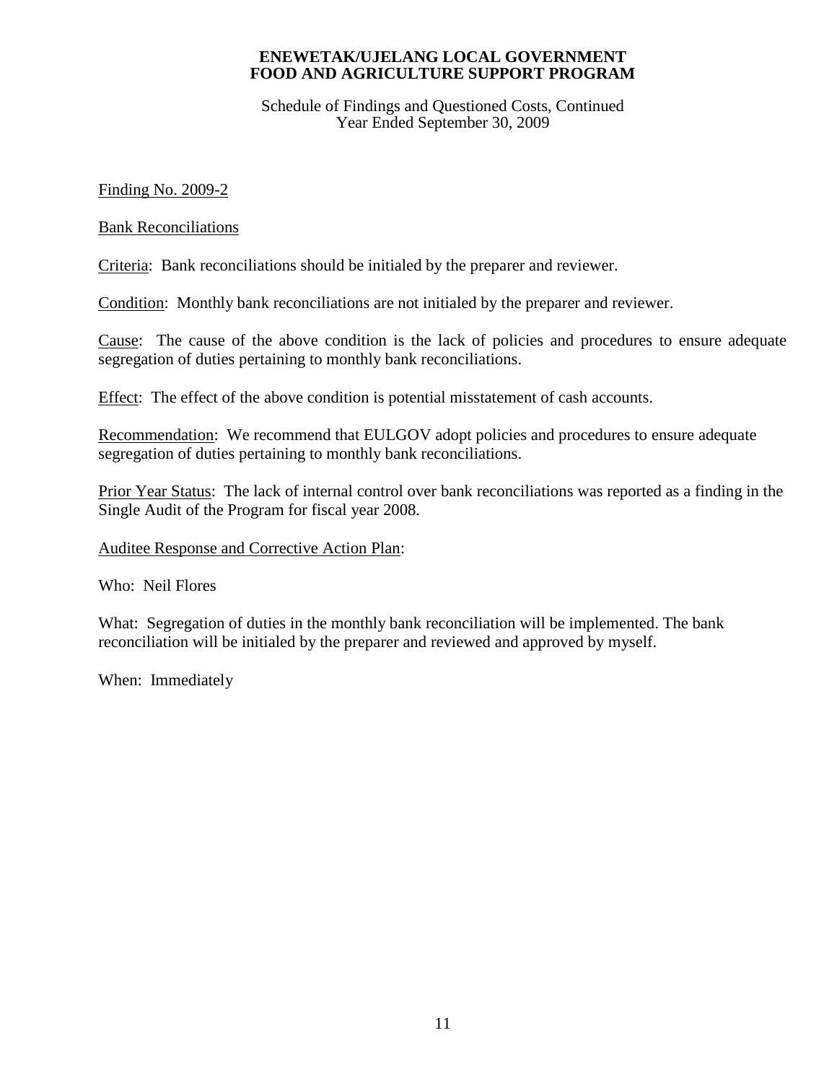Schedule of Findings and Questioned Costs, Continued Year Ended September 30, 2009

Finding No. 2009-2

Bank Reconciliations

Criteria: Bank reconciliations should be initialed by the preparer and reviewer.

Condition: Monthly bank reconciliations are not initialed by the preparer and reviewer.

Cause: The cause of the above condition is the lack of policies and procedures to ensure adequate segregation of duties pertaining to monthly bank reconciliations.

Effect: The effect of the above condition is potential misstatement of cash accounts.

Recommendation: We recommend that EULGOV adopt policies and procedures to ensure adequate segregation of duties pertaining to monthly bank reconciliations.

Prior Year Status: The lack of internal control over bank reconciliations was reported as a finding in the Single Audit of the Program for fiscal year 2008.

## Auditee Response and Corrective Action Plan:

Who: Neil Flores

What: Segregation of duties in the monthly bank reconciliation will be implemented. The bank reconciliation will be initialed by the preparer and reviewed and approved by myself.

When: Immediately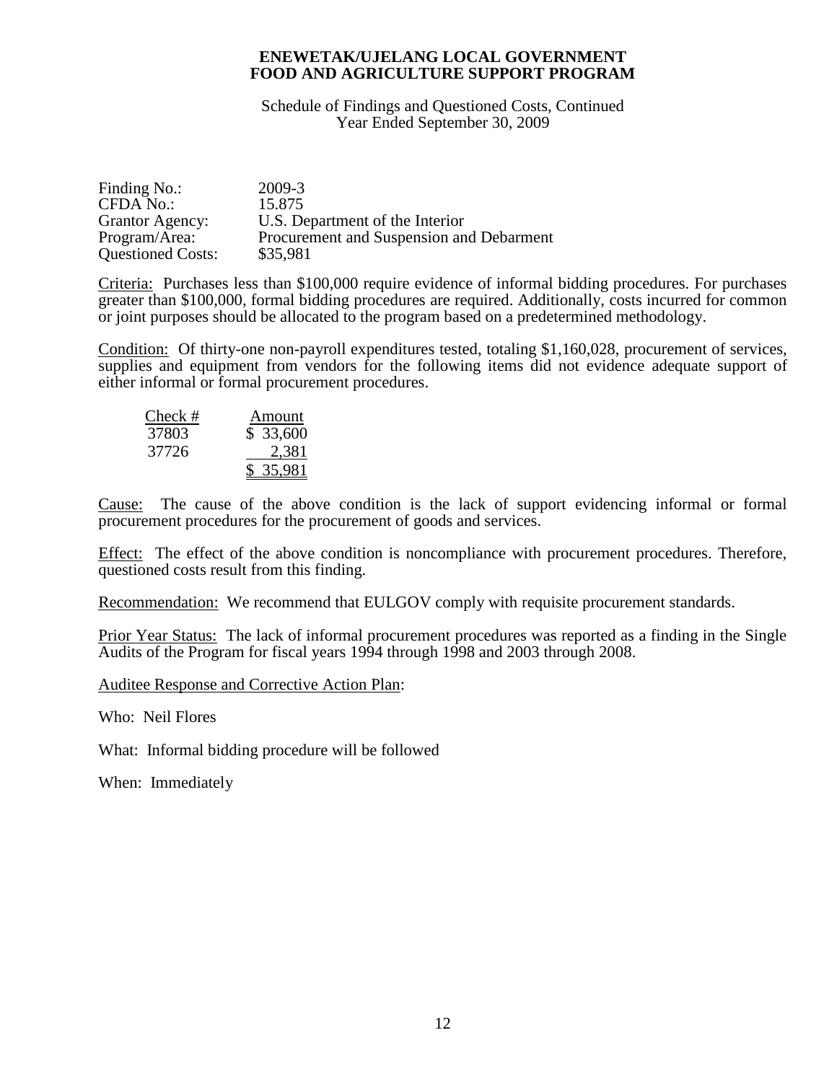Schedule of Findings and Questioned Costs, Continued Year Ended September 30, 2009

| Finding No.:             | 2009-3                                   |
|--------------------------|------------------------------------------|
| CFDA No.:                | 15.875                                   |
| <b>Grantor Agency:</b>   | U.S. Department of the Interior          |
| Program/Area:            | Procurement and Suspension and Debarment |
| <b>Questioned Costs:</b> | \$35,981                                 |

Criteria: Purchases less than \$100,000 require evidence of informal bidding procedures. For purchases greater than \$100,000, formal bidding procedures are required. Additionally, costs incurred for common or joint purposes should be allocated to the program based on a predetermined methodology.

Condition: Of thirty-one non-payroll expenditures tested, totaling \$1,160,028, procurement of services, supplies and equipment from vendors for the following items did not evidence adequate support of either informal or formal procurement procedures.

| Check # | Amount    |
|---------|-----------|
| 37803   | \$33,600  |
| 37726   | 2,381     |
|         | \$ 35,981 |

Cause: The cause of the above condition is the lack of support evidencing informal or formal procurement procedures for the procurement of goods and services.

Effect: The effect of the above condition is noncompliance with procurement procedures. Therefore, questioned costs result from this finding.

Recommendation: We recommend that EULGOV comply with requisite procurement standards.

Prior Year Status: The lack of informal procurement procedures was reported as a finding in the Single Audits of the Program for fiscal years 1994 through 1998 and 2003 through 2008.

Auditee Response and Corrective Action Plan:

Who: Neil Flores

What: Informal bidding procedure will be followed

When: Immediately